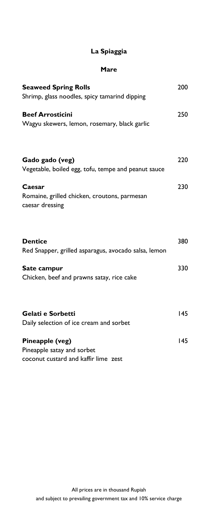#### **Mare**

| <b>Seaweed Spring Rolls</b>                                                           | 200 |
|---------------------------------------------------------------------------------------|-----|
| Shrimp, glass noodles, spicy tamarind dipping                                         |     |
| <b>Beef Arrosticini</b>                                                               | 250 |
| Wagyu skewers, lemon, rosemary, black garlic                                          |     |
| Gado gado (veg)<br>Vegetable, boiled egg, tofu, tempe and peanut sauce                | 220 |
| Caesar                                                                                | 230 |
| Romaine, grilled chicken, croutons, parmesan<br>caesar dressing                       |     |
| <b>Dentice</b><br>Red Snapper, grilled asparagus, avocado salsa, lemon                | 380 |
| Sate campur<br>Chicken, beef and prawns satay, rice cake                              | 330 |
| Gelati e Sorbetti                                                                     | 145 |
| Daily selection of ice cream and sorbet                                               |     |
| Pineapple (veg)<br>Pineapple satay and sorbet<br>coconut custard and kaffir lime zest | 145 |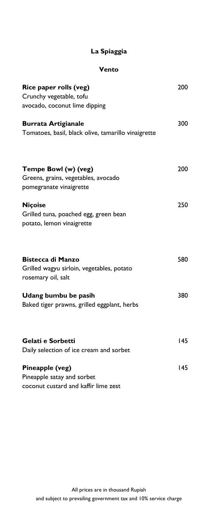### **Vento**

| Rice paper rolls (veg)                                                | 200 |
|-----------------------------------------------------------------------|-----|
| Crunchy vegetable, tofu                                               |     |
| avocado, coconut lime dipping                                         |     |
| <b>Burrata Artigianale</b>                                            | 300 |
| Tomatoes, basil, black olive, tamarillo vinaigrette                   |     |
| Tempe Bowl (w) (veg)                                                  | 200 |
| Greens, grains, vegetables, avocado                                   |     |
| pomegranate vinaigrette                                               |     |
| <b>Niçoise</b>                                                        | 250 |
| Grilled tuna, poached egg, green bean                                 |     |
| potato, lemon vinaigrette                                             |     |
| <b>Bistecca di Manzo</b><br>Grilled wagyu sirloin, vegetables, potato | 580 |
| rosemary oil, salt                                                    |     |
| Udang bumbu be pasih                                                  | 380 |
| Baked tiger prawns, grilled eggplant, herbs                           |     |
| Gelati e Sorbetti                                                     | 145 |
| Daily selection of ice cream and sorbet                               |     |
| Pineapple (veg)                                                       | 145 |
| Pineapple satay and sorbet                                            |     |
| coconut custard and kaffir lime zest                                  |     |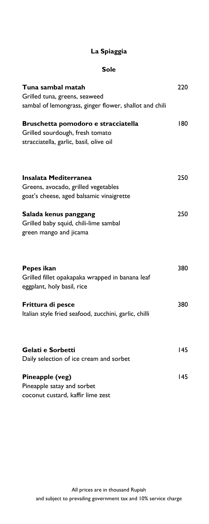### **Sole**

| Tuna sambal matah                                                                           | 220 |
|---------------------------------------------------------------------------------------------|-----|
| Grilled tuna, greens, seaweed                                                               |     |
| sambal of lemongrass, ginger flower, shallot and chili                                      |     |
| Bruschetta pomodoro e stracciatella                                                         | 180 |
| Grilled sourdough, fresh tomato                                                             |     |
| stracciatella, garlic, basil, olive oil                                                     |     |
| Insalata Mediterranea                                                                       | 250 |
| Greens, avocado, grilled vegetables                                                         |     |
| goat's cheese, aged balsamic vinaigrette                                                    |     |
| Salada kenus panggang<br>Grilled baby squid, chili-lime sambal<br>green mango and jicama    | 250 |
| Pepes ikan<br>Grilled fillet opakapaka wrapped in banana leaf<br>eggplant, holy basil, rice | 380 |
| Frittura di pesce                                                                           | 380 |
| Italian style fried seafood, zucchini, garlic, chilli                                       |     |
| Gelati e Sorbetti                                                                           | 145 |
| Daily selection of ice cream and sorbet                                                     |     |
| Pineapple (veg)                                                                             | 145 |
| Pineapple satay and sorbet                                                                  |     |
| coconut custard, kaffir lime zest                                                           |     |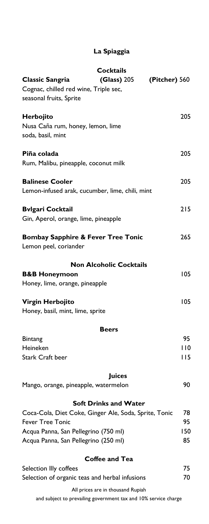|                                                       | <b>Cocktails</b>                  |               |
|-------------------------------------------------------|-----------------------------------|---------------|
| Classic Sangria                                       | <b>(Glass)</b> 205                | (Pitcher) 560 |
| Cognac, chilled red wine, Triple sec,                 |                                   |               |
| seasonal fruits, Sprite                               |                                   |               |
|                                                       |                                   |               |
| Herbojito                                             |                                   | 205           |
| Nusa Caña rum, honey, lemon, lime                     |                                   |               |
| soda, basil, mint                                     |                                   |               |
|                                                       |                                   |               |
| Piña colada                                           |                                   | 205           |
| Rum, Malibu, pineapple, coconut milk                  |                                   |               |
|                                                       |                                   |               |
| <b>Balinese Cooler</b>                                |                                   | 205           |
| Lemon-infused arak, cucumber, lime, chili, mint       |                                   |               |
|                                                       |                                   |               |
| <b>Bvlgari Cocktail</b>                               |                                   | 215           |
| Gin, Aperol, orange, lime, pineapple                  |                                   |               |
|                                                       |                                   |               |
| <b>Bombay Sapphire &amp; Fever Tree Tonic</b>         |                                   | 265           |
| Lemon peel, coriander                                 |                                   |               |
|                                                       |                                   |               |
|                                                       | <b>Non Alcoholic Cocktails</b>    |               |
| <b>B&amp;B Honeymoon</b>                              |                                   | 105           |
| Honey, lime, orange, pineapple                        |                                   |               |
|                                                       |                                   |               |
| <b>Virgin Herbojito</b>                               |                                   | 105           |
| Honey, basil, mint, lime, sprite                      |                                   |               |
|                                                       |                                   |               |
|                                                       | <b>Beers</b>                      |               |
| <b>Bintang</b>                                        |                                   | 95            |
| Heineken                                              |                                   | 110           |
| <b>Stark Craft beer</b>                               |                                   | 115           |
|                                                       |                                   |               |
|                                                       | <b>Juices</b>                     |               |
| Mango, orange, pineapple, watermelon                  |                                   | 90            |
|                                                       |                                   |               |
|                                                       | <b>Soft Drinks and Water</b>      |               |
| Coca-Cola, Diet Coke, Ginger Ale, Soda, Sprite, Tonic |                                   | 78            |
| <b>Fever Tree Tonic</b>                               |                                   | 95            |
| Acqua Panna, San Pellegrino (750 ml)                  |                                   | 150           |
|                                                       |                                   |               |
| Acqua Panna, San Pellegrino (250 ml)                  |                                   | 85            |
|                                                       | <b>Coffee and Tea</b>             |               |
|                                                       |                                   | 75            |
| Selection Illy coffees                                |                                   |               |
| Selection of organic teas and herbal infusions        |                                   | 70            |
|                                                       | All prices are in thousand Rupiah |               |

and subject to prevailing government tax and 10% service charge